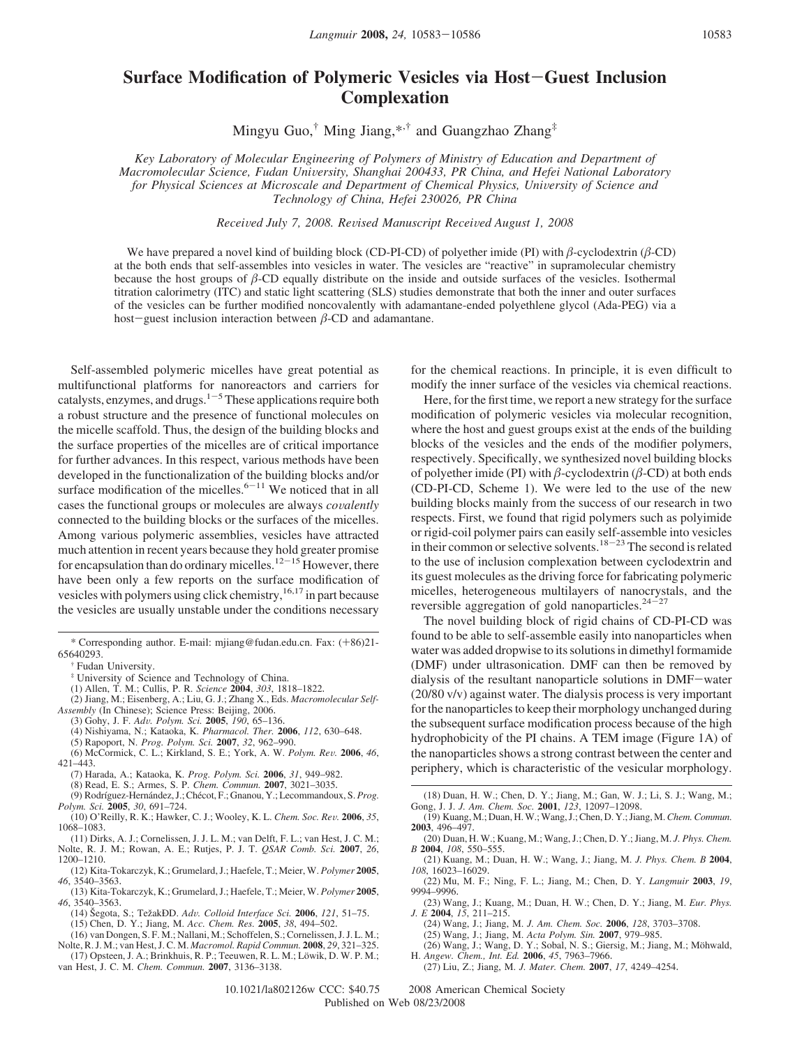## **Surface Modification of Polymeric Vesicles via Host**-**Guest Inclusion Complexation**

Mingyu Guo,<sup>†</sup> Ming Jiang,\*<sup>+†</sup> and Guangzhao Zhang<sup>‡</sup>

*Key Laboratory of Molecular Engineering of Polymers of Ministry of Education and Department of Macromolecular Science, Fudan University, Shanghai 200433, PR China, and Hefei National Laboratory for Physical Sciences at Microscale and Department of Chemical Physics, University of Science and Technology of China, Hefei 230026, PR China*

*Recei*V*ed July 7, 2008. Re*V*ised Manuscript Recei*V*ed August 1, 2008*

We have prepared a novel kind of building block (CD-PI-CD) of polyether imide (PI) with  $\beta$ -cyclodextrin ( $\beta$ -CD) at the both ends that self-assembles into vesicles in water. The vesicles are "reactive" in supramolecular chemistry because the host groups of  $\beta$ -CD equally distribute on the inside and outside surfaces of the vesicles. Isothermal titration calorimetry (ITC) and static light scattering (SLS) studies demonstrate that both the inner and outer surfaces of the vesicles can be further modified noncovalently with adamantane-ended polyethlene glycol (Ada-PEG) via a host-guest inclusion interaction between  $\beta$ -CD and adamantane.

Self-assembled polymeric micelles have great potential as multifunctional platforms for nanoreactors and carriers for catalysts, enzymes, and drugs. $1-5$  These applications require both a robust structure and the presence of functional molecules on the micelle scaffold. Thus, the design of the building blocks and the surface properties of the micelles are of critical importance for further advances. In this respect, various methods have been developed in the functionalization of the building blocks and/or surface modification of the micelles. $6-11$  We noticed that in all cases the functional groups or molecules are always *covalently* connected to the building blocks or the surfaces of the micelles. Among various polymeric assemblies, vesicles have attracted much attention in recent years because they hold greater promise for encapsulation than do ordinary micelles.<sup>12-15</sup> However, there have been only a few reports on the surface modification of vesicles with polymers using click chemistry,<sup>16,17</sup> in part because the vesicles are usually unstable under the conditions necessary

*Assembly* (In Chinese); Science Press: Beijing, 2006.<br>(3) Gohy, J. F. *Adv. Polym. Sci.* **2005**, 190, 65–136

- (5) Rapoport, N. *Prog. Polym. Sci.* **2007**, *32*, 962–990.
- (6) McCormick, C. L.; Kirkland, S. E.; York, A. W. *Polym. Re*V*.* **<sup>2006</sup>**, *<sup>46</sup>*, 421–443.
	- (7) Harada, A.; Kataoka, K. *Prog. Polym. Sci.* **2006**, *31*, 949–982.
	- (8) Read, E. S.; Armes, S. P. *Chem. Commun.* **2007**, 3021–3035.
- (9) Rodrı´guez-Herna´ndez, J.; Che´cot, F.; Gnanou, Y.; Lecommandoux, S.*Prog. Polym. Sci.* **2005**, *30*, 691–724.
- (10) O'Reilly, R. K.; Hawker, C. J.; Wooley, K. L. *Chem. Soc. Re*V*.* **<sup>2006</sup>**, *<sup>35</sup>*, 1068–1083.
- (11) Dirks, A. J.; Cornelissen, J. J. L. M.; van Delft, F. L.; van Hest, J. C. M.; Nolte, R. J. M.; Rowan, A. E.; Rutjes, P. J. T. *QSAR Comb. Sci.* **2007**, *26*,
- 1200–1210. (12) Kita-Tokarczyk, K.; Grumelard, J.; Haefele, T.; Meier, W. *Polymer* **2005**,
- *46*, 3540–3563.
- (13) Kita-Tokarczyk, K.; Grumelard, J.; Haefele, T.; Meier, W. *Polymer* **2005**,
	- *<sup>46</sup>*, 3540–3563. (14) Sˇ egota, S.; TezˇakÐD. *Ad*V*. Colloid Interface Sci.* **<sup>2006</sup>**, *<sup>121</sup>*, 51–75. (15) Chen, D. Y.; Jiang, M. *Acc. Chem. Res.* **<sup>2005</sup>**, *<sup>38</sup>*, 494–502.
	- (16) van Dongen, S. F. M.; Nallani, M.; Schoffelen, S.; Cornelissen, J. J. L. M.;
- Nolte, R. J. M.; van Hest, J. C. M. *Macromol. Rapid Commun.* **2008**, *29*, 321–325.

(17) Opsteen, J. A.; Brinkhuis, R. P.; Teeuwen, R. L. M.; Löwik, D. W. P. M.; van Hest, J. C. M. *Chem. Commun.* **2007**, 3136–3138.

for the chemical reactions. In principle, it is even difficult to modify the inner surface of the vesicles via chemical reactions.

Here, for the first time, we report a new strategy for the surface modification of polymeric vesicles via molecular recognition, where the host and guest groups exist at the ends of the building blocks of the vesicles and the ends of the modifier polymers, respectively. Specifically, we synthesized novel building blocks of polyether imide (PI) with  $\beta$ -cyclodextrin ( $\beta$ -CD) at both ends (CD-PI-CD, Scheme 1). We were led to the use of the new building blocks mainly from the success of our research in two respects. First, we found that rigid polymers such as polyimide or rigid-coil polymer pairs can easily self-assemble into vesicles in their common or selective solvents.<sup>18-23</sup> The second is related to the use of inclusion complexation between cyclodextrin and its guest molecules as the driving force for fabricating polymeric micelles, heterogeneous multilayers of nanocrystals, and the reversible aggregation of gold nanoparticles.<sup>24-27</sup>

The novel building block of rigid chains of CD-PI-CD was found to be able to self-assemble easily into nanoparticles when water was added dropwise to its solutions in dimethyl formamide (DMF) under ultrasonication. DMF can then be removed by dialysis of the resultant nanoparticle solutions in DMF-water (20/80 v/v) against water. The dialysis process is very important for the nanoparticles to keep their morphology unchanged during the subsequent surface modification process because of the high hydrophobicity of the PI chains. A TEM image (Figure 1A) of the nanoparticles shows a strong contrast between the center and periphery, which is characteristic of the vesicular morphology.

- (19) Kuang, M.; Duan, H. W.; Wang, J.; Chen, D. Y.; Jiang, M.*Chem. Commun.* **2003**, 496–497.
- (20) Duan, H. W.; Kuang, M.; Wang, J.; Chen, D. Y.; Jiang, M. *J. Phys. Chem. B* **2004**, *108*, 550–555.
- (21) Kuang, M.; Duan, H. W.; Wang, J.; Jiang, M. *J. Phys. Chem. B* **2004**, *108*, 16023–16029.
- (22) Mu, M. F.; Ning, F. L.; Jiang, M.; Chen, D. Y. *Langmuir* **2003**, *19*, 9994–9996.
- (23) Wang, J.; Kuang, M.; Duan, H. W.; Chen, D. Y.; Jiang, M. *Eur. Phys. J. E* **2004**, *15*, 211–215.
	- (24) Wang, J.; Jiang, M. *J. Am. Chem. Soc.* **2006**, *128*, 3703–3708.
	- (25) Wang, J.; Jiang, M. *Acta Polym. Sin.* **2007**, 979–985.
- (26) Wang, J.; Wang, D. Y.; Sobal, N. S.; Giersig, M.; Jiang, M.; Möhwald, H. *Angew. Chem., Int. Ed.* **2006**, *45*, 7963–7966.
- (27) Liu, Z.; Jiang, M. *J. Mater. Chem.* **2007**, *17*, 4249–4254.

<sup>\*</sup> Corresponding author. E-mail: mjiang@fudan.edu.cn. Fax: (+86)21-

<sup>&</sup>lt;sup>†</sup> Fudan University.

<sup>‡</sup> University of Science and Technology of China.

<sup>(1)</sup> Allen, T. M.; Cullis, P. R. *Science* **2004**, *303*, 1818–1822.

<sup>(2)</sup> Jiang, M.; Eisenberg, A.; Liu, G. J.; Zhang X., Eds. *Macromolecular Self-*

<sup>(3)</sup> Gohy, J. F. *Ad*V*. Polym. Sci.* **<sup>2005</sup>**, *<sup>190</sup>*, 65–136. (4) Nishiyama, N.; Kataoka, K. *Pharmacol. Ther.* **<sup>2006</sup>**, *<sup>112</sup>*, 630–648.

<sup>(18)</sup> Duan, H. W.; Chen, D. Y.; Jiang, M.; Gan, W. J.; Li, S. J.; Wang, M.; Gong, J. J. *J. Am. Chem. Soc.* **2001**, *123*, 12097–12098.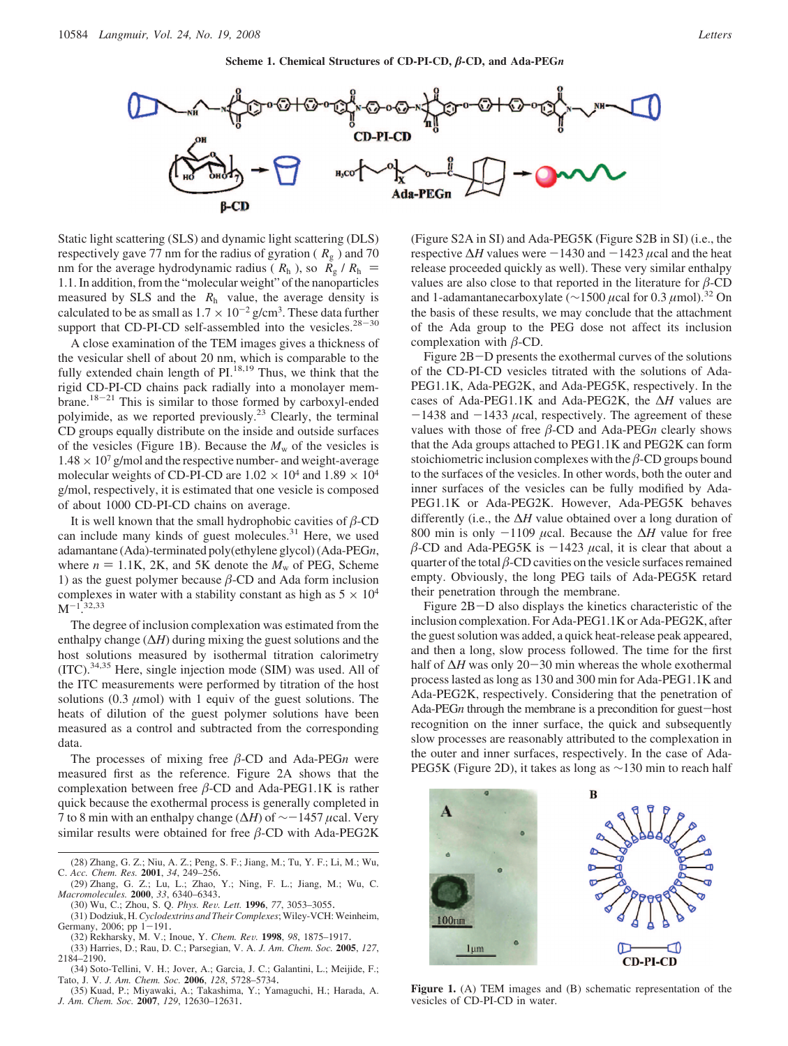**Scheme 1. Chemical Structures of CD-PI-CD, -CD, and Ada-PEG***n*



Static light scattering (SLS) and dynamic light scattering (DLS) respectively gave 77 nm for the radius of gyration  $(\langle R_g \rangle)$  and 70 nm for the average hydrodynamic radius ( $\langle R_{h} \rangle$ ), so  $\langle R_{g} \rangle / \langle R_{h} \rangle =$ 1.1. In addition, from the "molecular weight" of the nanoparticles measured by SLS and the  $\langle R_{\rm h} \rangle$  value, the average density is calculated to be as small as  $1.7 \times 10^{-2}$  g/cm<sup>3</sup>. These data further support that CD-PI-CD self-assembled into the vesicles. $28-30$ 

A close examination of the TEM images gives a thickness of the vesicular shell of about 20 nm, which is comparable to the fully extended chain length of  $PL^{18,19}$  Thus, we think that the rigid CD-PI-CD chains pack radially into a monolayer membrane. $18-21$  This is similar to those formed by carboxyl-ended polyimide, as we reported previously.23 Clearly, the terminal CD groups equally distribute on the inside and outside surfaces of the vesicles (Figure 1B). Because the  $M_w$  of the vesicles is  $1.48 \times 10^7$  g/mol and the respective number- and weight-average molecular weights of CD-PI-CD are  $1.02 \times 10^4$  and  $1.89 \times 10^4$ g/mol, respectively, it is estimated that one vesicle is composed of about 1000 CD-PI-CD chains on average.

It is well known that the small hydrophobic cavities of  $\beta$ -CD can include many kinds of guest molecules. $31$  Here, we used adamantane (Ada)-terminated poly(ethylene glycol) (Ada-PEG*n*, where  $n = 1.1K$ , 2K, and 5K denote the  $M_w$  of PEG, Scheme 1) as the guest polymer because  $\beta$ -CD and Ada form inclusion complexes in water with a stability constant as high as  $5 \times 10^4$  $M^{-1}$ . 32,33

The degree of inclusion complexation was estimated from the enthalpy change (∆*H*) during mixing the guest solutions and the host solutions measured by isothermal titration calorimetry (ITC).34,35 Here, single injection mode (SIM) was used. All of the ITC measurements were performed by titration of the host solutions  $(0.3 \mu \text{mol})$  with 1 equiv of the guest solutions. The heats of dilution of the guest polymer solutions have been measured as a control and subtracted from the corresponding data.

The processes of mixing free  $\beta$ -CD and Ada-PEG*n* were measured first as the reference. Figure 2A shows that the complexation between free  $\beta$ -CD and Ada-PEG1.1K is rather quick because the exothermal process is generally completed in 7 to 8 min with an enthalpy change (∆*H*) of <sup>∼</sup>-<sup>1457</sup> *<sup>µ</sup>*cal. Very similar results were obtained for free  $\beta$ -CD with Ada-PEG2K (Figure S2A in SI) and Ada-PEG5K (Figure S2B in SI) (i.e., the respective <sup>∆</sup>*<sup>H</sup>* values were -1430 and -<sup>1423</sup> *<sup>µ</sup>*cal and the heat release proceeded quickly as well). These very similar enthalpy values are also close to that reported in the literature for  $\beta$ -CD and 1-adamantanecarboxylate (∼<sup>1500</sup> *<sup>µ</sup>*cal for 0.3 *<sup>µ</sup>*mol).32 On the basis of these results, we may conclude that the attachment of the Ada group to the PEG dose not affect its inclusion complexation with  $\beta$ -CD.

Figure 2B-D presents the exothermal curves of the solutions of the CD-PI-CD vesicles titrated with the solutions of Ada-PEG1.1K, Ada-PEG2K, and Ada-PEG5K, respectively. In the cases of Ada-PEG1.1K and Ada-PEG2K, the ∆*H* values are  $-1438$  and  $-1433$   $\mu$ cal, respectively. The agreement of these values with those of free  $\beta$ -CD and Ada-PEGn clearly shows that the Ada groups attached to PEG1.1K and PEG2K can form stoichiometric inclusion complexes with the  $\beta$ -CD groups bound to the surfaces of the vesicles. In other words, both the outer and inner surfaces of the vesicles can be fully modified by Ada-PEG1.1K or Ada-PEG2K. However, Ada-PEG5K behaves differently (i.e., the ∆*H* value obtained over a long duration of 800 min is only -<sup>1109</sup> *<sup>µ</sup>*cal. Because the <sup>∆</sup>*<sup>H</sup>* value for free  $\beta$ -CD and Ada-PEG5K is  $-1423$   $\mu$ cal, it is clear that about a quarter of the total  $\beta$ -CD cavities on the vesicle surfaces remained empty. Obviously, the long PEG tails of Ada-PEG5K retard their penetration through the membrane.

Figure 2B-D also displays the kinetics characteristic of the inclusion complexation. For Ada-PEG1.1K or Ada-PEG2K, after the guest solution was added, a quick heat-release peak appeared, and then a long, slow process followed. The time for the first half of <sup>∆</sup>*<sup>H</sup>* was only 20-30 min whereas the whole exothermal process lasted as long as 130 and 300 min for Ada-PEG1.1K and Ada-PEG2K, respectively. Considering that the penetration of Ada-PEGn through the membrane is a precondition for guest-host recognition on the inner surface, the quick and subsequently slow processes are reasonably attributed to the complexation in the outer and inner surfaces, respectively. In the case of Ada-PEG5K (Figure 2D), it takes as long as ∼130 min to reach half



**Figure 1.** (A) TEM images and (B) schematic representation of the vesicles of CD-PI-CD in water.

<sup>(28)</sup> Zhang, G. Z.; Niu, A. Z.; Peng, S. F.; Jiang, M.; Tu, Y. F.; Li, M.; Wu, C. *Acc. Chem. Res.* **2001**, *34*, 249–256. (29) Zhang, G. Z.; Lu, L.; Zhao, Y.; Ning, F. L.; Jiang, M.; Wu, C.

*Macromolecules.* **2000**, *33*, 6340–6343.

<sup>(30)</sup> Wu, C.; Zhou, S. Q. *Phys. Re*V*. Lett.* **<sup>1996</sup>**, *<sup>77</sup>*, 3053–3055. (31) Dodziuk, H.*Cyclodextrins and Their Complexes*; Wiley-VCH: Weinheim,

Germany, 2006; pp 1-191. (32) Rekharsky, M. V.; Inoue, Y. *Chem. Re*V*.* **<sup>1998</sup>**, *<sup>98</sup>*, 1875–1917. (33) Harries, D.; Rau, D. C.; Parsegian, V. A. *J. Am. Chem. Soc.* **<sup>2005</sup>**, *<sup>127</sup>*,

<sup>2184–2190.</sup>

<sup>(34)</sup> Soto-Tellini, V. H.; Jover, A.; Garcia, J. C.; Galantini, L.; Meijide, F.; Tato, J. V. *J. Am. Chem. Soc.* **2006**, *128*, 5728–5734.

<sup>(35)</sup> Kuad, P.; Miyawaki, A.; Takashima, Y.; Yamaguchi, H.; Harada, A. *J. Am. Chem. Soc.* **2007**, *129*, 12630–12631.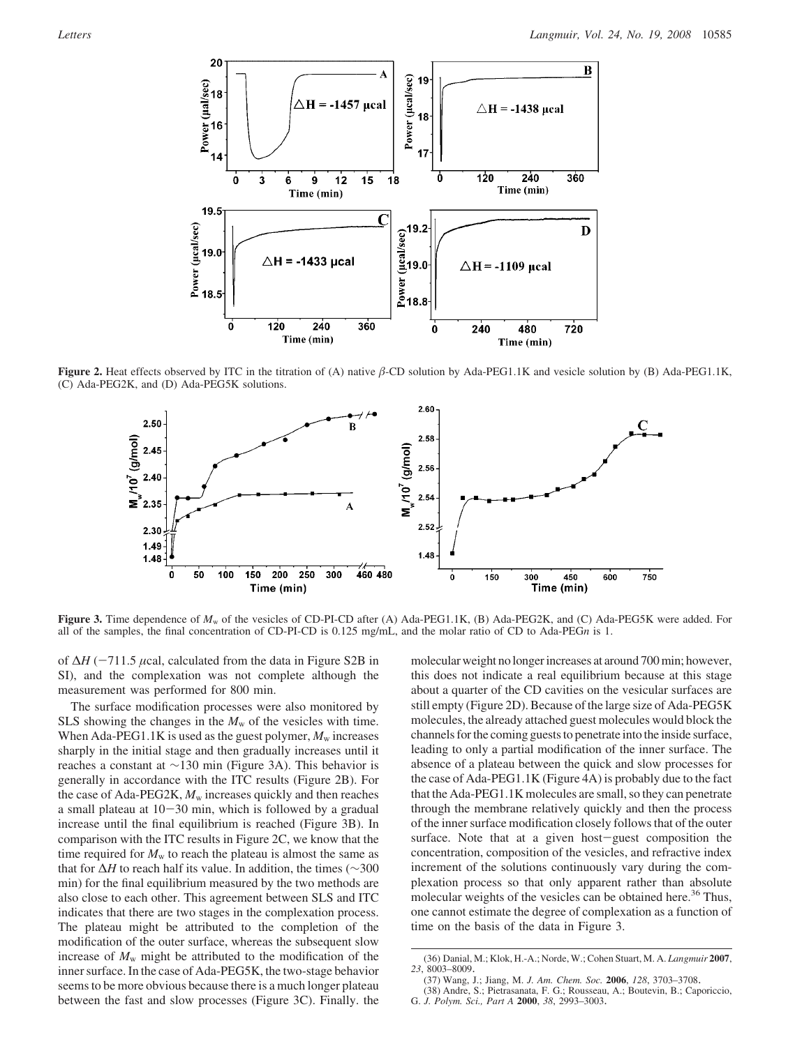

**Figure 2.** Heat effects observed by ITC in the titration of (A) native  $\beta$ -CD solution by Ada-PEG1.1K and vesicle solution by (B) Ada-PEG1.1K, (C) Ada-PEG2K, and (D) Ada-PEG5K solutions.



**Figure 3.** Time dependence of  $M_w$  of the vesicles of CD-PI-CD after (A) Ada-PEG1.1K, (B) Ada-PEG2K, and (C) Ada-PEG5K were added. For all of the samples, the final concentration of CD-PI-CD is 0.125 mg/mL, and the molar ratio of CD to Ada-PEG*n* is 1.

of <sup>∆</sup>*<sup>H</sup>* (-711.5 *<sup>µ</sup>*cal, calculated from the data in Figure S2B in SI), and the complexation was not complete although the measurement was performed for 800 min.

The surface modification processes were also monitored by SLS showing the changes in the  $M_w$  of the vesicles with time. When Ada-PEG1.1K is used as the guest polymer,  $M_w$  increases sharply in the initial stage and then gradually increases until it reaches a constant at ∼130 min (Figure 3A). This behavior is generally in accordance with the ITC results (Figure 2B). For the case of Ada-PEG2K,  $M_w$  increases quickly and then reaches a small plateau at  $10-30$  min, which is followed by a gradual increase until the final equilibrium is reached (Figure 3B). In comparison with the ITC results in Figure 2C, we know that the time required for  $M_w$  to reach the plateau is almost the same as that for ∆*H* to reach half its value. In addition, the times (∼300 min) for the final equilibrium measured by the two methods are also close to each other. This agreement between SLS and ITC indicates that there are two stages in the complexation process. The plateau might be attributed to the completion of the modification of the outer surface, whereas the subsequent slow increase of  $M_w$  might be attributed to the modification of the inner surface. In the case of Ada-PEG5K, the two-stage behavior seems to be more obvious because there is a much longer plateau between the fast and slow processes (Figure 3C). Finally. the molecular weight no longer increases at around 700 min; however, this does not indicate a real equilibrium because at this stage about a quarter of the CD cavities on the vesicular surfaces are still empty (Figure 2D). Because of the large size of Ada-PEG5K molecules, the already attached guest molecules would block the channels for the coming guests to penetrate into the inside surface, leading to only a partial modification of the inner surface. The absence of a plateau between the quick and slow processes for the case of Ada-PEG1.1K (Figure 4A) is probably due to the fact that the Ada-PEG1.1K molecules are small, so they can penetrate through the membrane relatively quickly and then the process of the inner surface modification closely follows that of the outer surface. Note that at a given host-guest composition the concentration, composition of the vesicles, and refractive index increment of the solutions continuously vary during the complexation process so that only apparent rather than absolute molecular weights of the vesicles can be obtained here.<sup>36</sup> Thus, one cannot estimate the degree of complexation as a function of time on the basis of the data in Figure 3.

<sup>(36)</sup> Danial, M.; Klok, H.-A.; Norde, W.; Cohen Stuart, M. A. *Langmuir* **2007**, *23*, 8003–8009.

<sup>(37)</sup> Wang, J.; Jiang, M. *J. Am. Chem. Soc.* **2006**, *128*, 3703–3708.

<sup>(38)</sup> Andre, S.; Pietrasanata, F. G.; Rousseau, A.; Boutevin, B.; Caporiccio, G. *J. Polym. Sci., Part A* **2000**, *38*, 2993–3003.